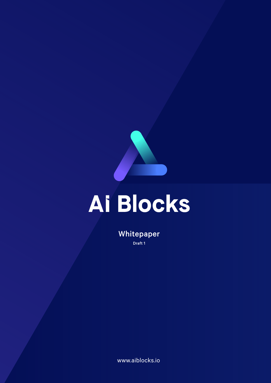

# Ai Blocks

Whitepaper Draft 1

www.aiblocks.io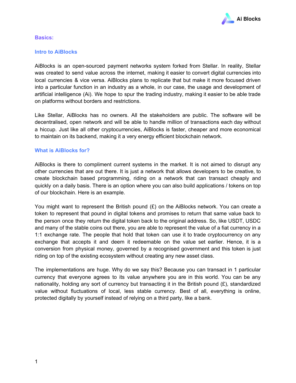

#### **Basics:**

#### **Intro to AiBlocks**

AiBlocks is an open-sourced payment networks system forked from Stellar. In reality, Stellar was created to send value across the internet, making it easier to convert digital currencies into local currencies & vice versa. AiBlocks plans to replicate that but make it more focused driven into a particular function in an industry as a whole, in our case, the usage and development of artificial intelligence (Ai). We hope to spur the trading industry, making it easier to be able trade on platforms without borders and restrictions.

Like Stellar, AiBlocks has no owners. All the stakeholders are public. The software will be decentralised, open network and will be able to handle million of transactions each day without a hiccup. Just like all other cryptocurrencies, AiBlocks is faster, cheaper and more economical to maintain on its backend, making it a very energy efficient blockchain network.

# **What is AiBlocks for?**

AiBlocks is there to compliment current systems in the market. It is not aimed to disrupt any other currencies that are out there. It is just a network that allows developers to be creative, to create blockchain based programming, riding on a network that can transact cheaply and quickly on a daily basis. There is an option where you can also build applications / tokens on top of our blockchain. Here is an example.

You might want to represent the British pound  $(E)$  on the AiBlocks network. You can create a token to represent that pound in digital tokens and promises to return that same value back to the person once they return the digital token back to the original address. So, like USDT, USDC and many of the stable coins out there, you are able to represent the value of a fiat currency in a 1:1 exchange rate. The people that hold that token can use it to trade cryptocurrency on any exchange that accepts it and deem it redeemable on the value set earlier. Hence, it is a conversion from physical money, governed by a recognised government and this token is just riding on top of the existing ecosystem without creating any new asset class.

The implementations are huge. Why do we say this? Because you can transact in 1 particular currency that everyone agrees to its value anywhere you are in this world. You can be any nationality, holding any sort of currency but transacting it in the British pound  $(E)$ , standardized value without fluctuations of local, less stable currency. Best of all, everything is online, protected digitally by yourself instead of relying on a third party, like a bank.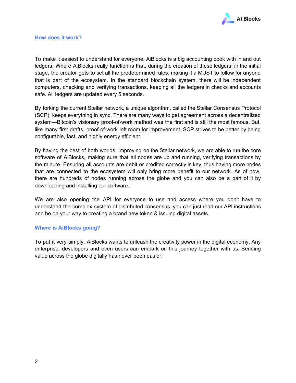

To make it easiest to understand for everyone, AiBlocks is a big accounting book with in and out ledgers. Where AiBlocks really function is that, during the creation of these ledgers, in the initial stage, the creator gets to set all the predetermined rules, making it a MUST to follow for anyone that is part of the ecosystem. In the standard blockchain system, there will be independent computers, checking and verifying transactions, keeping all the ledgers in checks and accounts safe. All ledgers are updated every 5 seconds.

By forking the current Stellar network, a unique algorithm, called the Stellar Consensus Protocol (SCP), keeps everything in sync. There are many ways to get agreement across a decentralized system—Bitcoin's visionary proof-of-work method was the first and is still the most famous. But, like many first drafts, proof-of-work left room for improvement. SCP strives to be better by being configurable, fast, and highly energy efficient.

By having the best of both worlds, improving on the Stellar network, we are able to run the core software of AiBlocks, making sure that all nodes are up and running, verifying transactions by the minute. Ensuring all accounts are debit or credited correctly is key, thus having more nodes that are connected to the ecosystem will only bring more benefit to our network. As of now, there are hundreds of nodes running across the globe and you can also be a part of it by downloading and installing our software.

We are also opening the API for everyone to use and access where you don't have to understand the complex system of distributed consensus, you can just read our API instructions and be on your way to creating a brand new token & issuing digital assets.

# **Where is AiBlocks going?**

To put it very simply, AiBlocks wants to unleash the creativity power in the digital economy. Any enterprise, developers and even users can embark on this journey together with us. Sending value across the globe digitally has never been easier.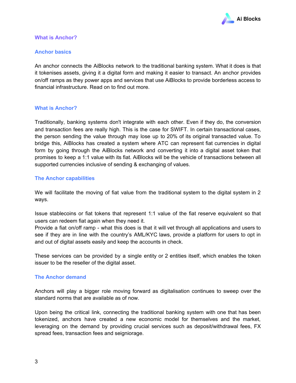

#### **What is Anchor?**

#### **Anchor basics**

An anchor connects the AiBlocks network to the traditional banking system. What it does is that it tokenises assets, giving it a digital form and making it easier to transact. An anchor provides on/off ramps as they power apps and services that use AiBlocks to provide borderless access to financial infrastructure. Read on to find out more.

#### **What is Anchor?**

Traditionally, banking systems don't integrate with each other. Even if they do, the conversion and transaction fees are really high. This is the case for SWIFT. In certain transactional cases, the person sending the value through may lose up to 20% of its original transacted value. To bridge this, AiBlocks has created a system where ATC can represent fiat currencies in digital form by going through the AiBlocks network and converting it into a digital asset token that promises to keep a 1:1 value with its fiat. AiBlocks will be the vehicle of transactions between all supported currencies inclusive of sending & exchanging of values.

#### **The Anchor capabilities**

We will facilitate the moving of fiat value from the traditional system to the digital system in 2 ways.

Issue stablecoins or fiat tokens that represent 1:1 value of the fiat reserve equivalent so that users can redeem fiat again when they need it.

Provide a fiat on/off ramp - what this does is that it will vet through all applications and users to see if they are in line with the country's AML/KYC laws, provide a platform for users to opt in and out of digital assets easily and keep the accounts in check.

These services can be provided by a single entity or 2 entities itself, which enables the token issuer to be the reseller of the digital asset.

#### **The Anchor demand**

Anchors will play a bigger role moving forward as digitalisation continues to sweep over the standard norms that are available as of now.

Upon being the critical link, connecting the traditional banking system with one that has been tokenized, anchors have created a new economic model for themselves and the market, leveraging on the demand by providing crucial services such as deposit/withdrawal fees, FX spread fees, transaction fees and seigniorage.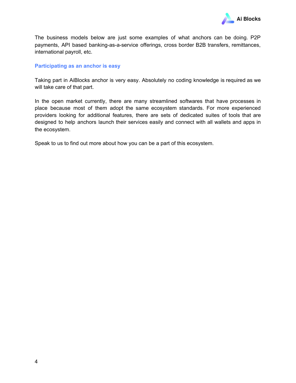

The business models below are just some examples of what anchors can be doing. P2P payments, API based banking-as-a-service offerings, cross border B2B transfers, remittances, international payroll, etc.

#### **Participating as an anchor is easy**

Taking part in AiBlocks anchor is very easy. Absolutely no coding knowledge is required as we will take care of that part.

In the open market currently, there are many streamlined softwares that have processes in place because most of them adopt the same ecosystem standards. For more experienced providers looking for additional features, there are sets of dedicated suites of tools that are designed to help anchors launch their services easily and connect with all wallets and apps in the ecosystem.

Speak to us to find out more about how you can be a part of this ecosystem.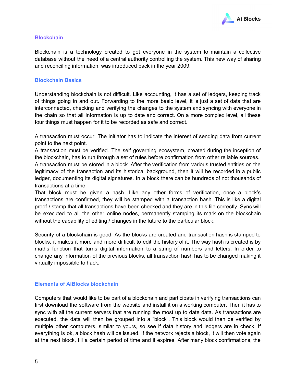

# **Blockchain**

Blockchain is a technology created to get everyone in the system to maintain a collective database without the need of a central authority controlling the system. This new way of sharing and reconciling information, was introduced back in the year 2009.

#### **Blockchain Basics**

Understanding blockchain is not difficult. Like accounting, it has a set of ledgers, keeping track of things going in and out. Forwarding to the more basic level, it is just a set of data that are interconnected, checking and verifying the changes to the system and syncing with everyone in the chain so that all information is up to date and correct. On a more complex level, all these four things must happen for it to be recorded as safe and correct.

A transaction must occur. The initiator has to indicate the interest of sending data from current point to the next point.

A transaction must be verified. The self governing ecosystem, created during the inception of the blockchain, has to run through a set of rules before confirmation from other reliable sources.

A transaction must be stored in a block. After the verification from various trusted entities on the legitimacy of the transaction and its historical background, then it will be recorded in a public ledger, documenting its digital signatures. In a block there can be hundreds of not thousands of transactions at a time.

That block must be given a hash. Like any other forms of verification, once a block's transactions are confirmed, they will be stamped with a transaction hash. This is like a digital proof / stamp that all transactions have been checked and they are in this file correctly. Sync will be executed to all the other online nodes, permanently stamping its mark on the blockchain without the capability of editing / changes in the future to the particular block.

Security of a blockchain is good. As the blocks are created and transaction hash is stamped to blocks, it makes it more and more difficult to edit the history of it. The way hash is created is by maths function that turns digital information to a string of numbers and letters. In order to change any information of the previous blocks, all transaction hash has to be changed making it virtually impossible to hack.

# **Elements of AiBlocks blockchain**

Computers that would like to be part of a blockchain and participate in verifying transactions can first download the software from the website and install it on a working computer. Then it has to sync with all the current servers that are running the most up to date data. As transactions are executed, the data will then be grouped into a "block". This block would then be verified by multiple other computers, similar to yours, so see if data history and ledgers are in check. If everything is ok, a block hash will be issued. If the network rejects a block, it will then vote again at the next block, till a certain period of time and it expires. After many block confirmations, the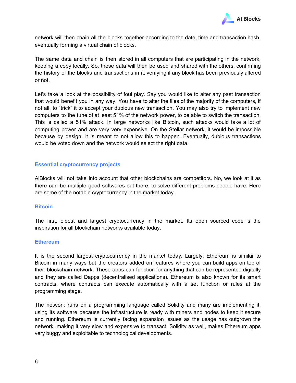

network will then chain all the blocks together according to the date, time and transaction hash, eventually forming a virtual chain of blocks.

The same data and chain is then stored in all computers that are participating in the network, keeping a copy locally. So, these data will then be used and shared with the others, confirming the history of the blocks and transactions in it, verifying if any block has been previously altered or not.

Let's take a look at the possibility of foul play. Say you would like to alter any past transaction that would benefit you in any way. You have to alter the files of the majority of the computers, if not all, to "trick" it to accept your dubious new transaction. You may also try to implement new computers to the tune of at least 51% of the network power, to be able to switch the transaction. This is called a 51% attack. In large networks like Bitcoin, such attacks would take a lot of computing power and are very very expensive. On the Stellar network, it would be impossible because by design, it is meant to not allow this to happen. Eventually, dubious transactions would be voted down and the network would select the right data.

# **Essential cryptocurrency projects**

AiBlocks will not take into account that other blockchains are competitors. No, we look at it as there can be multiple good softwares out there, to solve different problems people have. Here are some of the notable cryptocurrency in the market today.

#### **Bitcoin**

The first, oldest and largest cryptocurrency in the market. Its open sourced code is the inspiration for all blockchain networks available today.

#### **Ethereum**

It is the second largest cryptocurrency in the market today. Largely, Ethereum is similar to Bitcoin in many ways but the creators added on features where you can build apps on top of their blockchain network. These apps can function for anything that can be represented digitally and they are called Dapps (decentralised applications). Ethereum is also known for its smart contracts, where contracts can execute automatically with a set function or rules at the programming stage.

The network runs on a programming language called Solidity and many are implementing it, using its software because the infrastructure is ready with miners and nodes to keep it secure and running. Ethereum is currently facing expansion issues as the usage has outgrown the network, making it very slow and expensive to transact. Solidity as well, makes Ethereum apps very buggy and exploitable to technological developments.